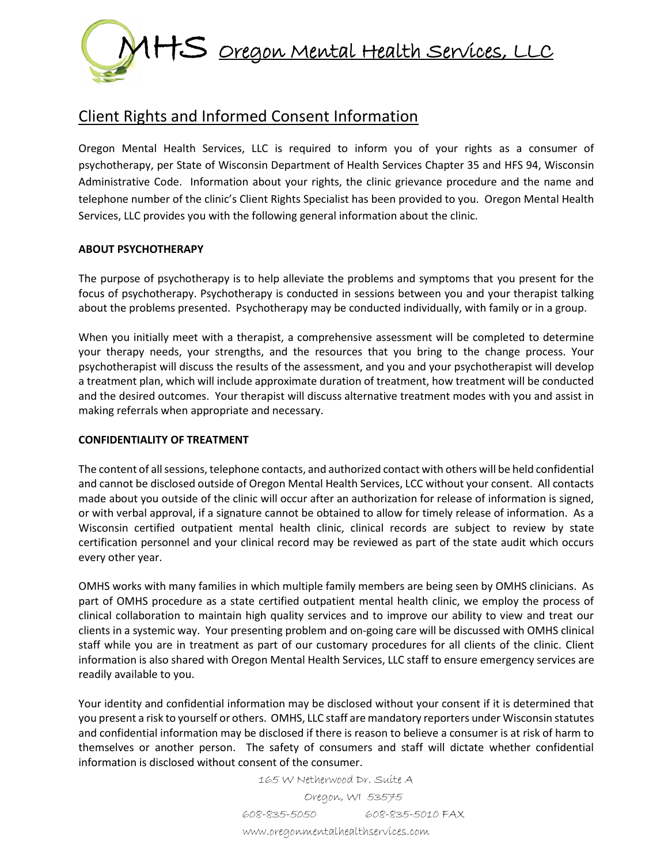

# Client Rights and Informed Consent Information

Oregon Mental Health Services, LLC is required to inform you of your rights as a consumer of psychotherapy, per State of Wisconsin Department of Health Services Chapter 35 and HFS 94, Wisconsin Administrative Code. Information about your rights, the clinic grievance procedure and the name and telephone number of the clinic's Client Rights Specialist has been provided to you. Oregon Mental Health Services, LLC provides you with the following general information about the clinic.

## **ABOUT PSYCHOTHERAPY**

The purpose of psychotherapy is to help alleviate the problems and symptoms that you present for the focus of psychotherapy. Psychotherapy is conducted in sessions between you and your therapist talking about the problems presented. Psychotherapy may be conducted individually, with family or in a group.

When you initially meet with a therapist, a comprehensive assessment will be completed to determine your therapy needs, your strengths, and the resources that you bring to the change process. Your psychotherapist will discuss the results of the assessment, and you and your psychotherapist will develop a treatment plan, which will include approximate duration of treatment, how treatment will be conducted and the desired outcomes. Your therapist will discuss alternative treatment modes with you and assist in making referrals when appropriate and necessary.

### **CONFIDENTIALITY OF TREATMENT**

The content of all sessions, telephone contacts, and authorized contact with others will be held confidential and cannot be disclosed outside of Oregon Mental Health Services, LCC without your consent. All contacts made about you outside of the clinic will occur after an authorization for release of information is signed, or with verbal approval, if a signature cannot be obtained to allow for timely release of information. As a Wisconsin certified outpatient mental health clinic, clinical records are subject to review by state certification personnel and your clinical record may be reviewed as part of the state audit which occurs every other year.

OMHS works with many families in which multiple family members are being seen by OMHS clinicians. As part of OMHS procedure as a state certified outpatient mental health clinic, we employ the process of clinical collaboration to maintain high quality services and to improve our ability to view and treat our clients in a systemic way. Your presenting problem and on-going care will be discussed with OMHS clinical staff while you are in treatment as part of our customary procedures for all clients of the clinic. Client information is also shared with Oregon Mental Health Services, LLC staff to ensure emergency services are readily available to you.

Your identity and confidential information may be disclosed without your consent if it is determined that you present a risk to yourself or others. OMHS, LLC staff are mandatory reporters under Wisconsin statutes and confidential information may be disclosed if there is reason to believe a consumer is at risk of harm to themselves or another person. The safety of consumers and staff will dictate whether confidential information is disclosed without consent of the consumer.

> 165 W Netherwood Dr. Suite A Oregon, WI 53575 608-835-5050 608-835-5010 FAX www.oregonmentalhealthservices.com